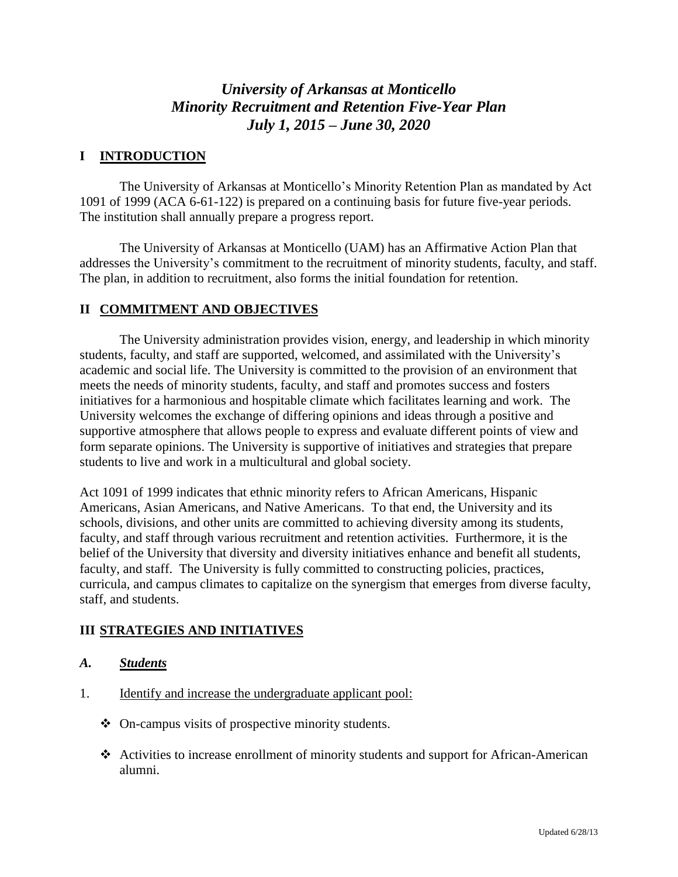# *University of Arkansas at Monticello Minority Recruitment and Retention Five-Year Plan July 1, 2015 – June 30, 2020*

### **I INTRODUCTION**

The University of Arkansas at Monticello's Minority Retention Plan as mandated by Act 1091 of 1999 (ACA 6-61-122) is prepared on a continuing basis for future five-year periods. The institution shall annually prepare a progress report.

The University of Arkansas at Monticello (UAM) has an Affirmative Action Plan that addresses the University's commitment to the recruitment of minority students, faculty, and staff. The plan, in addition to recruitment, also forms the initial foundation for retention.

### **II COMMITMENT AND OBJECTIVES**

The University administration provides vision, energy, and leadership in which minority students, faculty, and staff are supported, welcomed, and assimilated with the University's academic and social life. The University is committed to the provision of an environment that meets the needs of minority students, faculty, and staff and promotes success and fosters initiatives for a harmonious and hospitable climate which facilitates learning and work. The University welcomes the exchange of differing opinions and ideas through a positive and supportive atmosphere that allows people to express and evaluate different points of view and form separate opinions. The University is supportive of initiatives and strategies that prepare students to live and work in a multicultural and global society.

Act 1091 of 1999 indicates that ethnic minority refers to African Americans, Hispanic Americans, Asian Americans, and Native Americans. To that end, the University and its schools, divisions, and other units are committed to achieving diversity among its students, faculty, and staff through various recruitment and retention activities. Furthermore, it is the belief of the University that diversity and diversity initiatives enhance and benefit all students, faculty, and staff. The University is fully committed to constructing policies, practices, curricula, and campus climates to capitalize on the synergism that emerges from diverse faculty, staff, and students.

### **III STRATEGIES AND INITIATIVES**

- *A. Students*
- 1. Identify and increase the undergraduate applicant pool:
	- On-campus visits of prospective minority students.
	- Activities to increase enrollment of minority students and support for African-American alumni.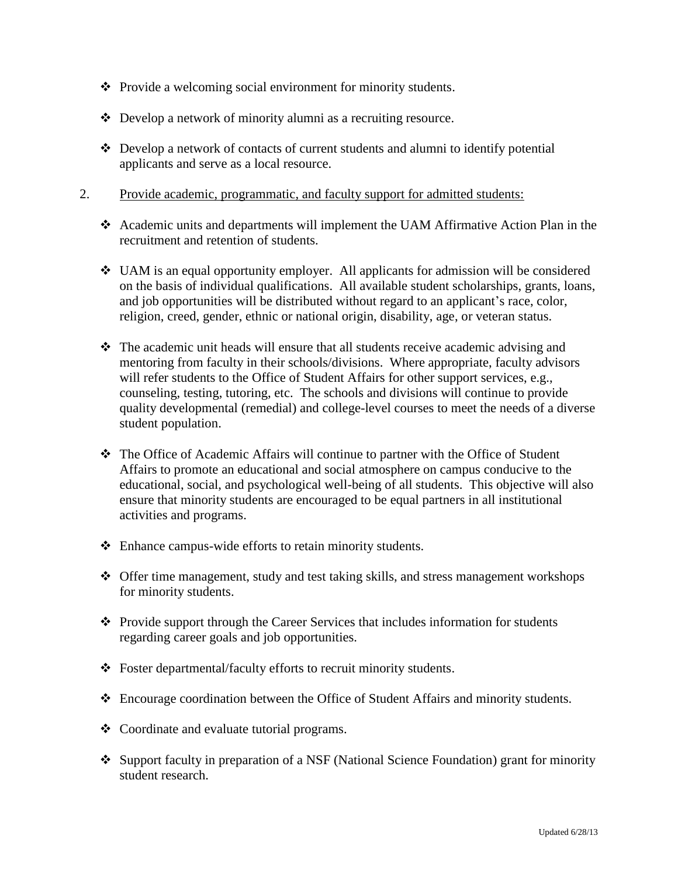- Provide a welcoming social environment for minority students.
- Develop a network of minority alumni as a recruiting resource.
- Develop a network of contacts of current students and alumni to identify potential applicants and serve as a local resource.
- 2. Provide academic, programmatic, and faculty support for admitted students:
	- Academic units and departments will implement the UAM Affirmative Action Plan in the recruitment and retention of students.
	- $\div$  UAM is an equal opportunity employer. All applicants for admission will be considered on the basis of individual qualifications. All available student scholarships, grants, loans, and job opportunities will be distributed without regard to an applicant's race, color, religion, creed, gender, ethnic or national origin, disability, age, or veteran status.
	- The academic unit heads will ensure that all students receive academic advising and mentoring from faculty in their schools/divisions. Where appropriate, faculty advisors will refer students to the Office of Student Affairs for other support services, e.g., counseling, testing, tutoring, etc. The schools and divisions will continue to provide quality developmental (remedial) and college-level courses to meet the needs of a diverse student population.
	- The Office of Academic Affairs will continue to partner with the Office of Student Affairs to promote an educational and social atmosphere on campus conducive to the educational, social, and psychological well-being of all students. This objective will also ensure that minority students are encouraged to be equal partners in all institutional activities and programs.
	- Enhance campus-wide efforts to retain minority students.
	- Offer time management, study and test taking skills, and stress management workshops for minority students.
	- \* Provide support through the Career Services that includes information for students regarding career goals and job opportunities.
	- Foster departmental/faculty efforts to recruit minority students.
	- Encourage coordination between the Office of Student Affairs and minority students.
	- Coordinate and evaluate tutorial programs.
	- Support faculty in preparation of a NSF (National Science Foundation) grant for minority student research.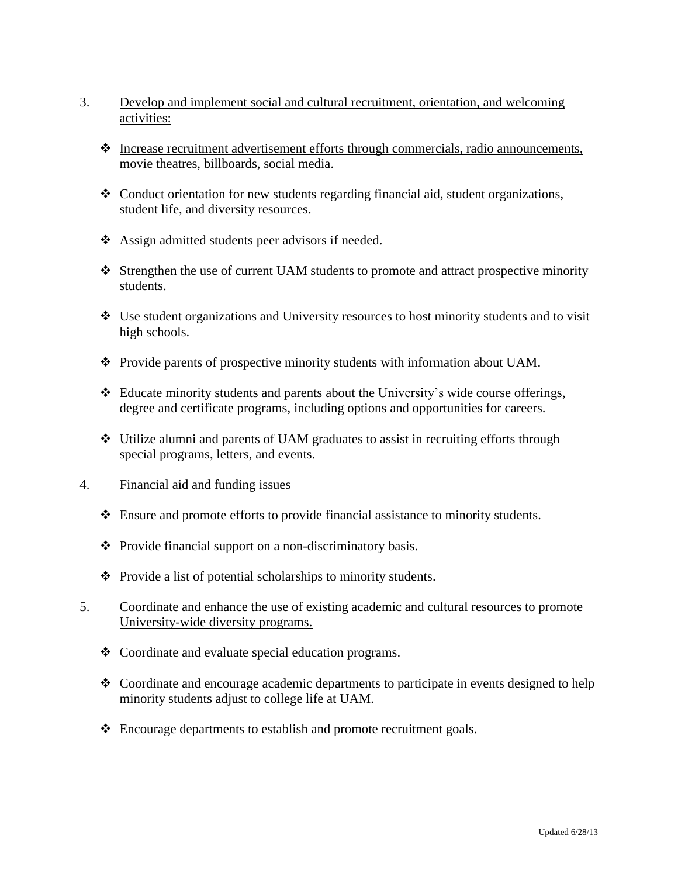- 3. Develop and implement social and cultural recruitment, orientation, and welcoming activities:
	- $\triangleleft$  Increase recruitment advertisement efforts through commercials, radio announcements, movie theatres, billboards, social media.
	- Conduct orientation for new students regarding financial aid, student organizations, student life, and diversity resources.
	- Assign admitted students peer advisors if needed.
	- $\triangle$  Strengthen the use of current UAM students to promote and attract prospective minority students.
	- Use student organizations and University resources to host minority students and to visit high schools.
	- Provide parents of prospective minority students with information about UAM.
	- $\div$  Educate minority students and parents about the University's wide course offerings, degree and certificate programs, including options and opportunities for careers.
	- Utilize alumni and parents of UAM graduates to assist in recruiting efforts through special programs, letters, and events.
- 4. Financial aid and funding issues
	- Ensure and promote efforts to provide financial assistance to minority students.
	- $\triangle$  Provide financial support on a non-discriminatory basis.
	- $\triangle$  Provide a list of potential scholarships to minority students.
- 5. Coordinate and enhance the use of existing academic and cultural resources to promote University-wide diversity programs.
	- Coordinate and evaluate special education programs.
	- $\triangle$  Coordinate and encourage academic departments to participate in events designed to help minority students adjust to college life at UAM.
	- Encourage departments to establish and promote recruitment goals.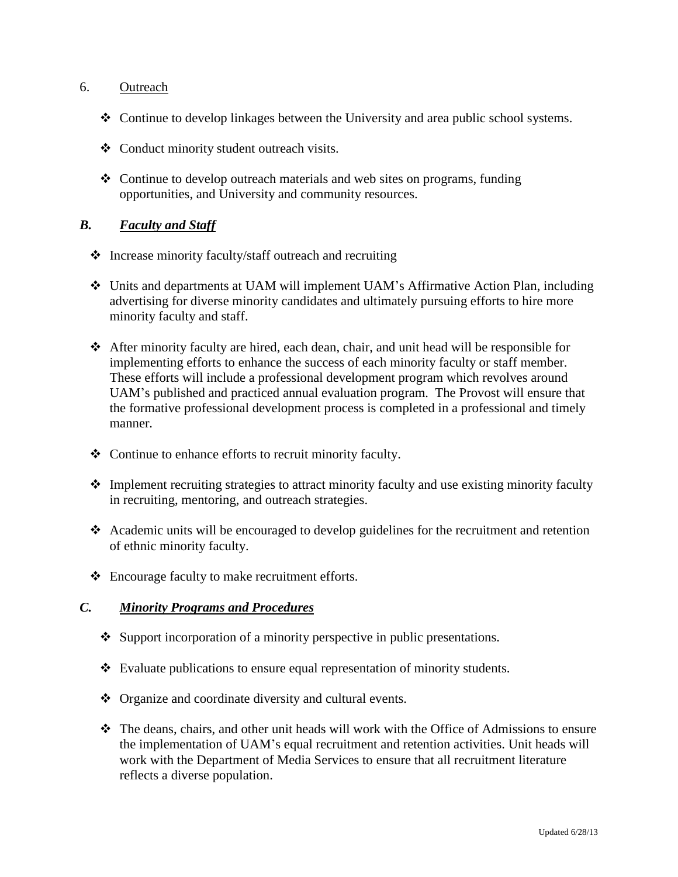#### 6. Outreach

- Continue to develop linkages between the University and area public school systems.
- Conduct minority student outreach visits.
- $\div$  Continue to develop outreach materials and web sites on programs, funding opportunities, and University and community resources.

### *B. Faculty and Staff*

- Increase minority faculty/staff outreach and recruiting
- Units and departments at UAM will implement UAM's Affirmative Action Plan, including advertising for diverse minority candidates and ultimately pursuing efforts to hire more minority faculty and staff.
- After minority faculty are hired, each dean, chair, and unit head will be responsible for implementing efforts to enhance the success of each minority faculty or staff member. These efforts will include a professional development program which revolves around UAM's published and practiced annual evaluation program. The Provost will ensure that the formative professional development process is completed in a professional and timely manner.
- Continue to enhance efforts to recruit minority faculty.
- $\triangle$  Implement recruiting strategies to attract minority faculty and use existing minority faculty in recruiting, mentoring, and outreach strategies.
- Academic units will be encouraged to develop guidelines for the recruitment and retention of ethnic minority faculty.
- Encourage faculty to make recruitment efforts.

### *C. Minority Programs and Procedures*

- Support incorporation of a minority perspective in public presentations.
- Evaluate publications to ensure equal representation of minority students.
- ◆ Organize and coordinate diversity and cultural events.
- The deans, chairs, and other unit heads will work with the Office of Admissions to ensure the implementation of UAM's equal recruitment and retention activities. Unit heads will work with the Department of Media Services to ensure that all recruitment literature reflects a diverse population.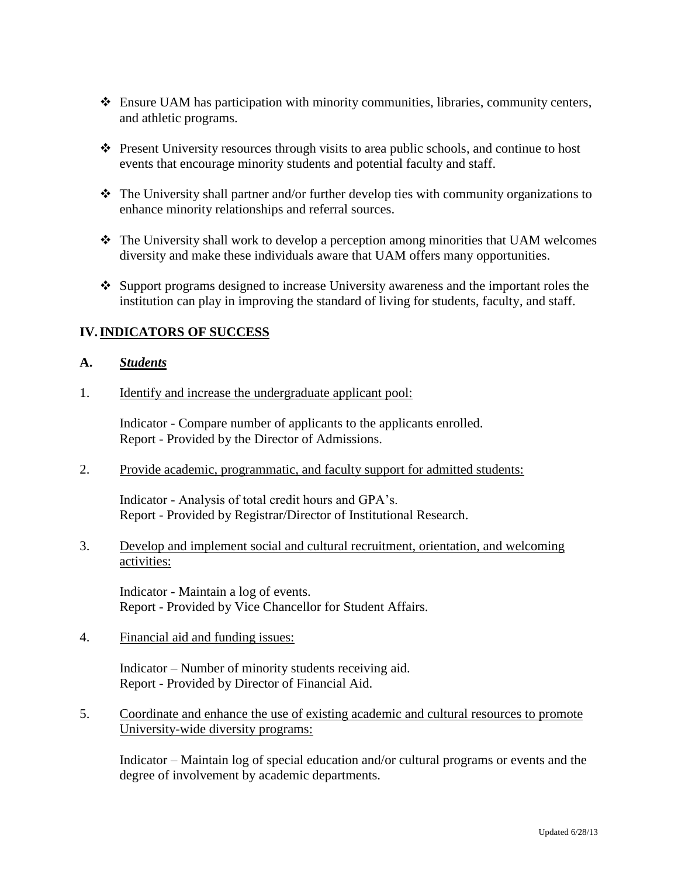- Ensure UAM has participation with minority communities, libraries, community centers, and athletic programs.
- Present University resources through visits to area public schools, and continue to host events that encourage minority students and potential faculty and staff.
- The University shall partner and/or further develop ties with community organizations to enhance minority relationships and referral sources.
- The University shall work to develop a perception among minorities that UAM welcomes diversity and make these individuals aware that UAM offers many opportunities.
- $\cdot$  Support programs designed to increase University awareness and the important roles the institution can play in improving the standard of living for students, faculty, and staff.

### **IV.INDICATORS OF SUCCESS**

#### **A.** *Students*

1. Identify and increase the undergraduate applicant pool:

Indicator - Compare number of applicants to the applicants enrolled. Report - Provided by the Director of Admissions.

2. Provide academic, programmatic, and faculty support for admitted students:

Indicator - Analysis of total credit hours and GPA's. Report - Provided by Registrar/Director of Institutional Research.

3. Develop and implement social and cultural recruitment, orientation, and welcoming activities:

Indicator - Maintain a log of events. Report - Provided by Vice Chancellor for Student Affairs.

4. Financial aid and funding issues:

Indicator – Number of minority students receiving aid. Report - Provided by Director of Financial Aid.

5. Coordinate and enhance the use of existing academic and cultural resources to promote University-wide diversity programs:

Indicator – Maintain log of special education and/or cultural programs or events and the degree of involvement by academic departments.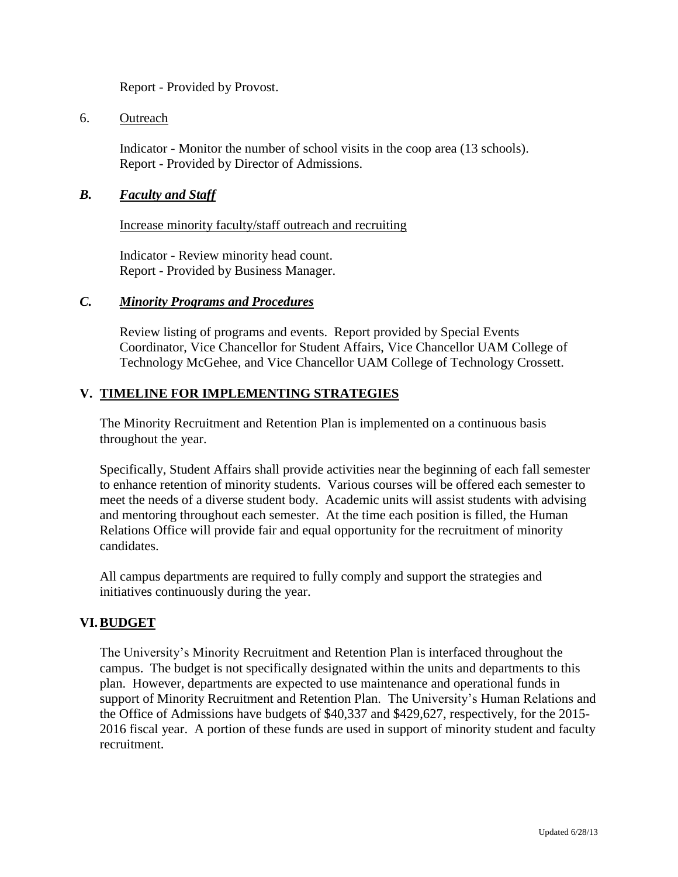Report - Provided by Provost.

#### 6. Outreach

Indicator - Monitor the number of school visits in the coop area (13 schools). Report - Provided by Director of Admissions.

#### *B. Faculty and Staff*

Increase minority faculty/staff outreach and recruiting

Indicator - Review minority head count. Report - Provided by Business Manager.

#### *C. Minority Programs and Procedures*

Review listing of programs and events. Report provided by Special Events Coordinator, Vice Chancellor for Student Affairs, Vice Chancellor UAM College of Technology McGehee, and Vice Chancellor UAM College of Technology Crossett.

### **V. TIMELINE FOR IMPLEMENTING STRATEGIES**

The Minority Recruitment and Retention Plan is implemented on a continuous basis throughout the year.

Specifically, Student Affairs shall provide activities near the beginning of each fall semester to enhance retention of minority students. Various courses will be offered each semester to meet the needs of a diverse student body. Academic units will assist students with advising and mentoring throughout each semester. At the time each position is filled, the Human Relations Office will provide fair and equal opportunity for the recruitment of minority candidates.

All campus departments are required to fully comply and support the strategies and initiatives continuously during the year.

#### **VI.BUDGET**

The University's Minority Recruitment and Retention Plan is interfaced throughout the campus. The budget is not specifically designated within the units and departments to this plan. However, departments are expected to use maintenance and operational funds in support of Minority Recruitment and Retention Plan. The University's Human Relations and the Office of Admissions have budgets of \$40,337 and \$429,627, respectively, for the 2015- 2016 fiscal year. A portion of these funds are used in support of minority student and faculty recruitment.